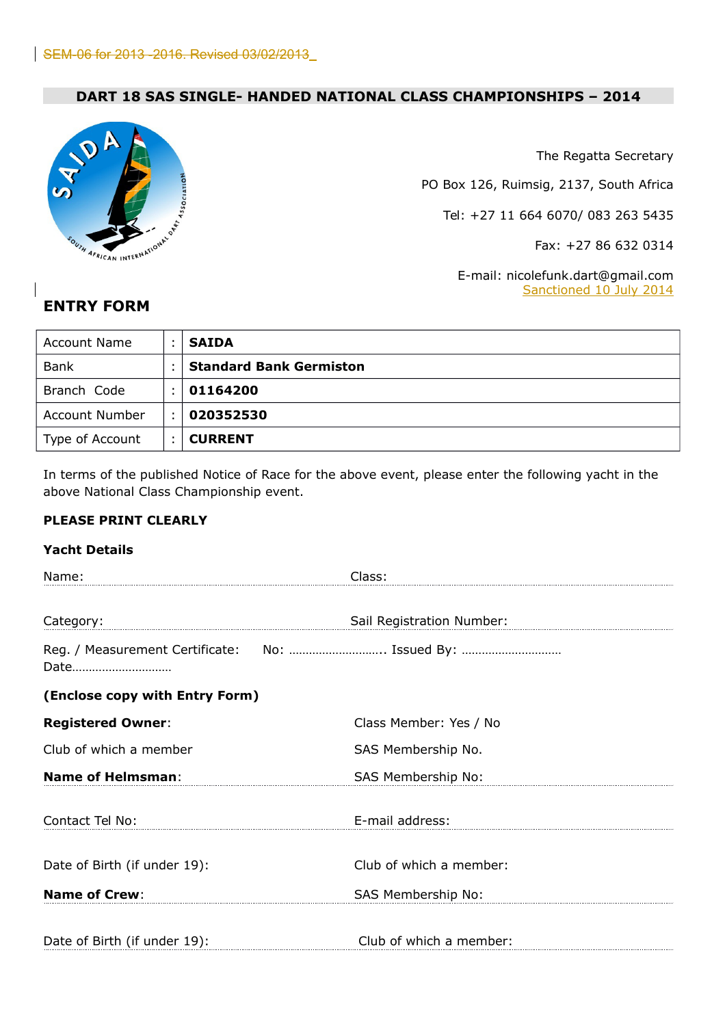# **DART 18 SAS SINGLE- HANDED NATIONAL CLASS CHAMPIONSHIPS – 2014**



The Regatta Secretary

PO Box 126, Ruimsig, 2137, South Africa

Tel: +27 11 664 6070/ 083 263 5435

Fax: +27 86 632 0314

E-mail: nicolefunk.dart@gmail.com Sanctioned 10 July 2014

# **ENTRY FORM**

| <b>Account Name</b> |                | <b>SAIDA</b>                   |
|---------------------|----------------|--------------------------------|
| <b>Bank</b>         |                | <b>Standard Bank Germiston</b> |
| Branch Code         |                | 01164200                       |
| Account Number      |                | 020352530                      |
| Type of Account     | $\blacksquare$ | <b>CURRENT</b>                 |

In terms of the published Notice of Race for the above event, please enter the following yacht in the above National Class Championship event.

## **PLEASE PRINT CLEARLY**

#### **Yacht Details**

| Name:                          | Class:                                          |
|--------------------------------|-------------------------------------------------|
|                                |                                                 |
| Category:                      | Sail Registration Number:                       |
| Date                           | Reg. / Measurement Certificate: No:  Issued By: |
| (Enclose copy with Entry Form) |                                                 |
| <b>Registered Owner:</b>       | Class Member: Yes / No                          |
| Club of which a member         | SAS Membership No.                              |
| <b>Name of Helmsman:</b>       | SAS Membership No:                              |
| Contact Tel No:                | E-mail address:                                 |
| Date of Birth (if under 19):   | Club of which a member:                         |
| <b>Name of Crew:</b>           | SAS Membership No:                              |
| Date of Birth (if under 19):   | Club of which a member:                         |